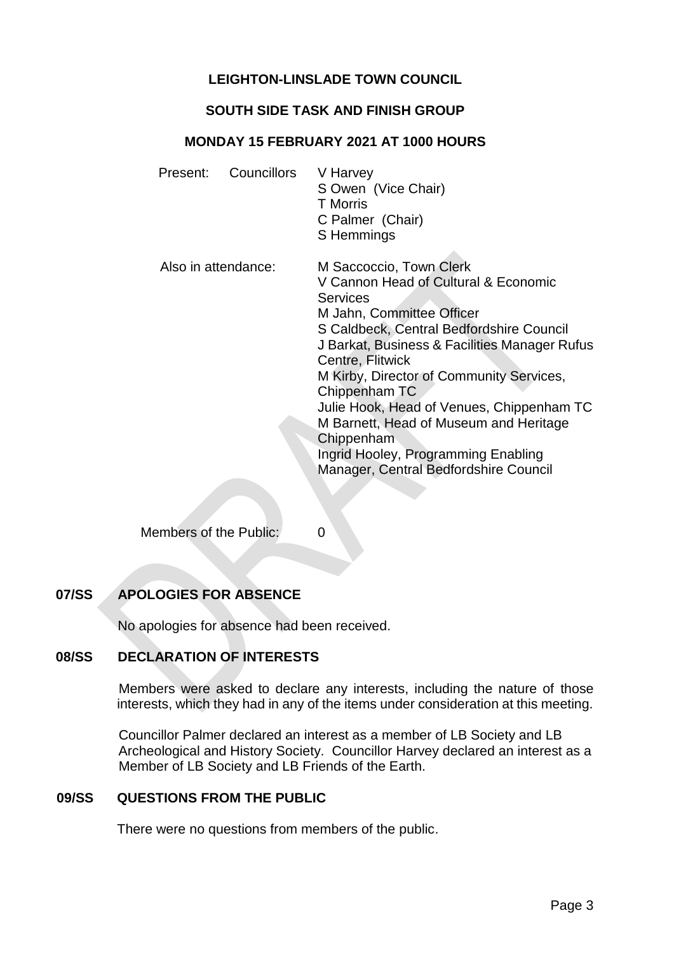# **LEIGHTON-LINSLADE TOWN COUNCIL**

## **SOUTH SIDE TASK AND FINISH GROUP**

### **MONDAY 15 FEBRUARY 2021 AT 1000 HOURS**

| Present:            | Councillors | V Harvey<br>S Owen (Vice Chair)<br><b>T</b> Morris<br>C Palmer (Chair)<br>S Hemmings                                                                                                                                                                                                                                                                                                                                                                                               |
|---------------------|-------------|------------------------------------------------------------------------------------------------------------------------------------------------------------------------------------------------------------------------------------------------------------------------------------------------------------------------------------------------------------------------------------------------------------------------------------------------------------------------------------|
| Also in attendance: |             | M Saccoccio, Town Clerk<br>V Cannon Head of Cultural & Economic<br><b>Services</b><br>M Jahn, Committee Officer<br>S Caldbeck, Central Bedfordshire Council<br>J Barkat, Business & Facilities Manager Rufus<br>Centre, Flitwick<br>M Kirby, Director of Community Services,<br>Chippenham TC<br>Julie Hook, Head of Venues, Chippenham TC<br>M Barnett, Head of Museum and Heritage<br>Chippenham<br>Ingrid Hooley, Programming Enabling<br>Manager, Central Bedfordshire Council |

Members of the Public: 0

# **07/SS APOLOGIES FOR ABSENCE**

No apologies for absence had been received.

## **08/SS DECLARATION OF INTERESTS**

Members were asked to declare any interests, including the nature of those interests, which they had in any of the items under consideration at this meeting.

 Councillor Palmer declared an interest as a member of LB Society and LB Archeological and History Society. Councillor Harvey declared an interest as a Member of LB Society and LB Friends of the Earth.

#### **09/SS QUESTIONS FROM THE PUBLIC**

There were no questions from members of the public.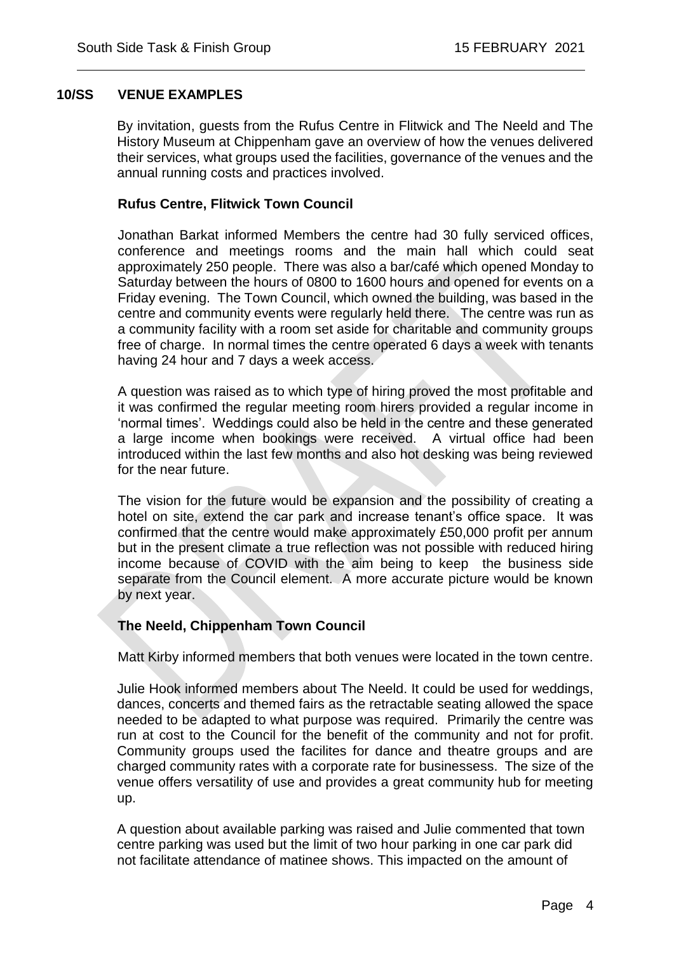### **10/SS VENUE EXAMPLES**

By invitation, guests from the Rufus Centre in Flitwick and The Neeld and The History Museum at Chippenham gave an overview of how the venues delivered their services, what groups used the facilities, governance of the venues and the annual running costs and practices involved.

 $\overline{a}$ 

#### **Rufus Centre, Flitwick Town Council**

Jonathan Barkat informed Members the centre had 30 fully serviced offices, conference and meetings rooms and the main hall which could seat approximately 250 people. There was also a bar/café which opened Monday to Saturday between the hours of 0800 to 1600 hours and opened for events on a Friday evening. The Town Council, which owned the building, was based in the centre and community events were regularly held there. The centre was run as a community facility with a room set aside for charitable and community groups free of charge. In normal times the centre operated 6 days a week with tenants having 24 hour and 7 days a week access.

A question was raised as to which type of hiring proved the most profitable and it was confirmed the regular meeting room hirers provided a regular income in 'normal times'. Weddings could also be held in the centre and these generated a large income when bookings were received. A virtual office had been introduced within the last few months and also hot desking was being reviewed for the near future.

The vision for the future would be expansion and the possibility of creating a hotel on site, extend the car park and increase tenant's office space. It was confirmed that the centre would make approximately £50,000 profit per annum but in the present climate a true reflection was not possible with reduced hiring income because of COVID with the aim being to keep the business side separate from the Council element. A more accurate picture would be known by next year.

## **The Neeld, Chippenham Town Council**

Matt Kirby informed members that both venues were located in the town centre.

Julie Hook informed members about The Neeld. It could be used for weddings, dances, concerts and themed fairs as the retractable seating allowed the space needed to be adapted to what purpose was required. Primarily the centre was run at cost to the Council for the benefit of the community and not for profit. Community groups used the facilites for dance and theatre groups and are charged community rates with a corporate rate for businessess. The size of the venue offers versatility of use and provides a great community hub for meeting up.

A question about available parking was raised and Julie commented that town centre parking was used but the limit of two hour parking in one car park did not facilitate attendance of matinee shows. This impacted on the amount of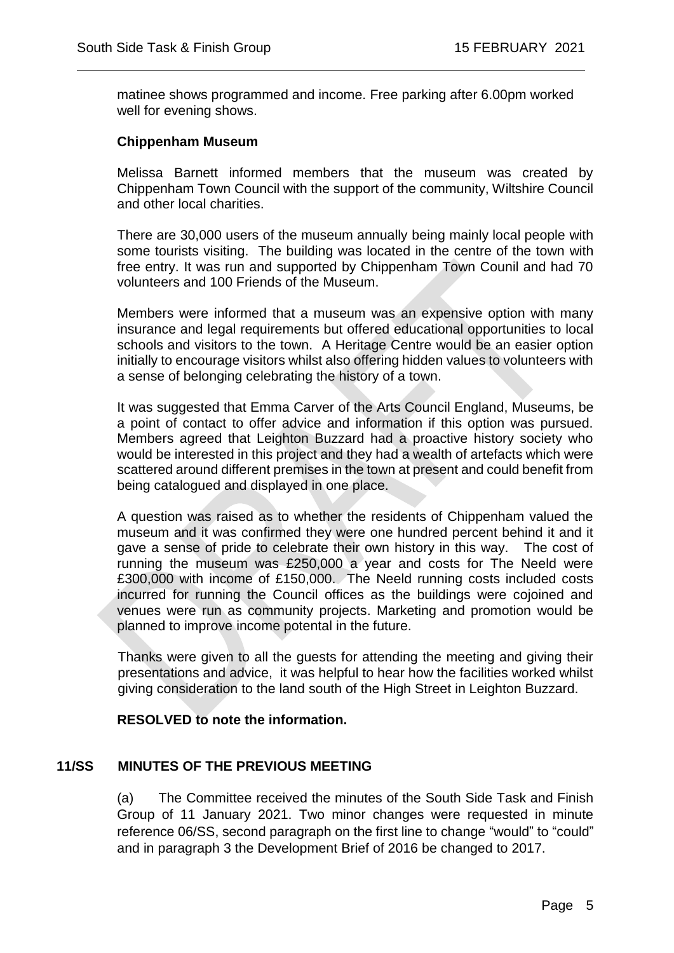matinee shows programmed and income. Free parking after 6.00pm worked well for evening shows.

 $\overline{a}$ 

#### **Chippenham Museum**

Melissa Barnett informed members that the museum was created by Chippenham Town Council with the support of the community, Wiltshire Council and other local charities.

There are 30,000 users of the museum annually being mainly local people with some tourists visiting. The building was located in the centre of the town with free entry. It was run and supported by Chippenham Town Counil and had 70 volunteers and 100 Friends of the Museum.

Members were informed that a museum was an expensive option with many insurance and legal requirements but offered educational opportunities to local schools and visitors to the town. A Heritage Centre would be an easier option initially to encourage visitors whilst also offering hidden values to volunteers with a sense of belonging celebrating the history of a town.

It was suggested that Emma Carver of the Arts Council England, Museums, be a point of contact to offer advice and information if this option was pursued. Members agreed that Leighton Buzzard had a proactive history society who would be interested in this project and they had a wealth of artefacts which were scattered around different premises in the town at present and could benefit from being catalogued and displayed in one place.

A question was raised as to whether the residents of Chippenham valued the museum and it was confirmed they were one hundred percent behind it and it gave a sense of pride to celebrate their own history in this way. The cost of running the museum was £250,000 a year and costs for The Neeld were £300,000 with income of £150,000. The Neeld running costs included costs incurred for running the Council offices as the buildings were cojoined and venues were run as community projects. Marketing and promotion would be planned to improve income potental in the future.

Thanks were given to all the guests for attending the meeting and giving their presentations and advice, it was helpful to hear how the facilities worked whilst giving consideration to the land south of the High Street in Leighton Buzzard.

#### **RESOLVED to note the information.**

#### **11/SS MINUTES OF THE PREVIOUS MEETING**

(a) The Committee received the minutes of the South Side Task and Finish Group of 11 January 2021. Two minor changes were requested in minute reference 06/SS, second paragraph on the first line to change "would" to "could" and in paragraph 3 the Development Brief of 2016 be changed to 2017.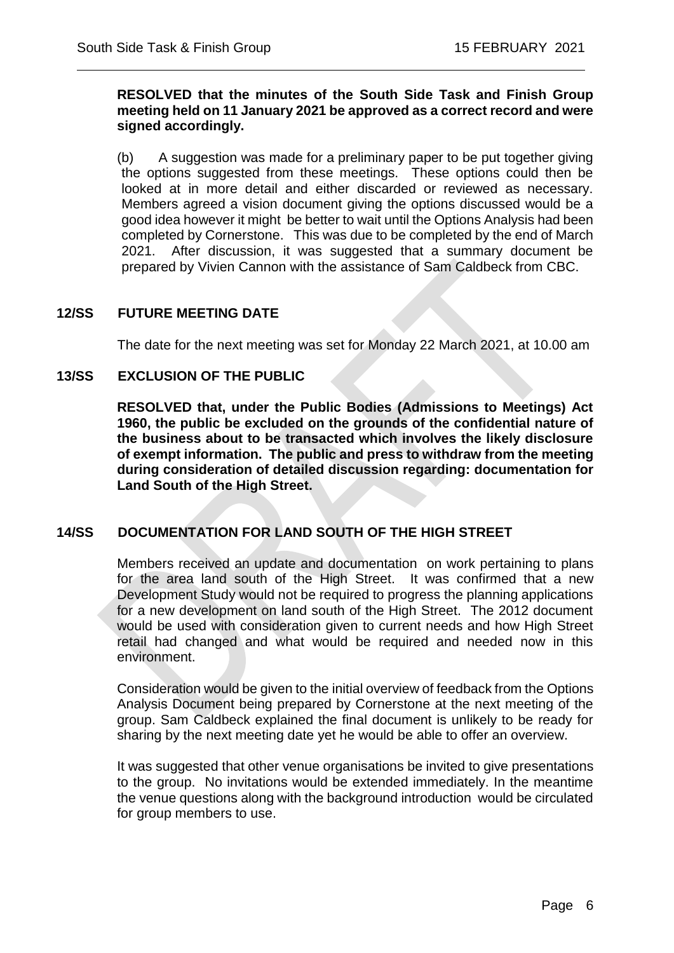#### **RESOLVED that the minutes of the South Side Task and Finish Group meeting held on 11 January 2021 be approved as a correct record and were signed accordingly.**

 $\overline{a}$ 

(b) A suggestion was made for a preliminary paper to be put together giving the options suggested from these meetings. These options could then be looked at in more detail and either discarded or reviewed as necessary. Members agreed a vision document giving the options discussed would be a good idea however it might be better to wait until the Options Analysis had been completed by Cornerstone. This was due to be completed by the end of March 2021. After discussion, it was suggested that a summary document be prepared by Vivien Cannon with the assistance of Sam Caldbeck from CBC.

## **12/SS FUTURE MEETING DATE**

The date for the next meeting was set for Monday 22 March 2021, at 10.00 am

#### **13/SS EXCLUSION OF THE PUBLIC**

**RESOLVED that, under the Public Bodies (Admissions to Meetings) Act 1960, the public be excluded on the grounds of the confidential nature of the business about to be transacted which involves the likely disclosure of exempt information. The public and press to withdraw from the meeting during consideration of detailed discussion regarding: documentation for Land South of the High Street.**

## **14/SS DOCUMENTATION FOR LAND SOUTH OF THE HIGH STREET**

Members received an update and documentation on work pertaining to plans for the area land south of the High Street. It was confirmed that a new Development Study would not be required to progress the planning applications for a new development on land south of the High Street. The 2012 document would be used with consideration given to current needs and how High Street retail had changed and what would be required and needed now in this environment.

Consideration would be given to the initial overview of feedback from the Options Analysis Document being prepared by Cornerstone at the next meeting of the group. Sam Caldbeck explained the final document is unlikely to be ready for sharing by the next meeting date yet he would be able to offer an overview.

It was suggested that other venue organisations be invited to give presentations to the group. No invitations would be extended immediately. In the meantime the venue questions along with the background introduction would be circulated for group members to use.